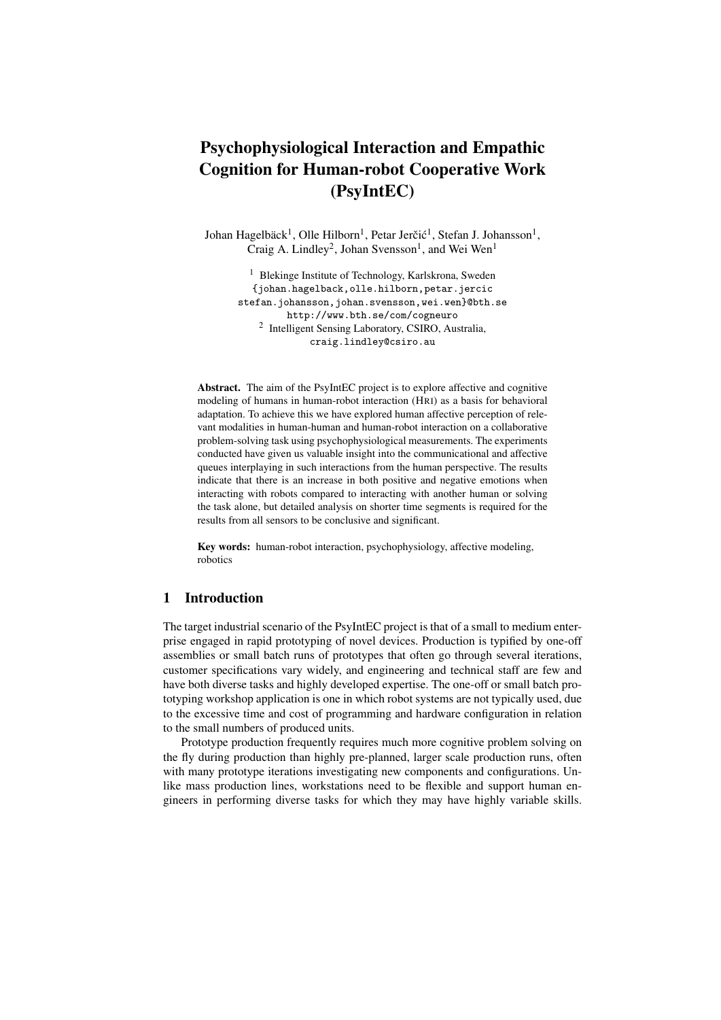# Psychophysiological Interaction and Empathic Cognition for Human-robot Cooperative Work (PsyIntEC)

Johan Hagelbäck $^1$ , Olle Hilborn $^1$ , Petar Jerčić $^1$ , Stefan J. Johansson $^1$ , Craig A. Lindley<sup>2</sup>, Johan Svensson<sup>1</sup>, and Wei Wen<sup>1</sup>

<sup>1</sup> Blekinge Institute of Technology, Karlskrona, Sweden {johan.hagelback,olle.hilborn,petar.jercic stefan.johansson,johan.svensson,wei.wen}@bth.se http://www.bth.se/com/cogneuro <sup>2</sup> Intelligent Sensing Laboratory, CSIRO, Australia, craig.lindley@csiro.au

Abstract. The aim of the PsyIntEC project is to explore affective and cognitive modeling of humans in human-robot interaction (HRI) as a basis for behavioral adaptation. To achieve this we have explored human affective perception of relevant modalities in human-human and human-robot interaction on a collaborative problem-solving task using psychophysiological measurements. The experiments conducted have given us valuable insight into the communicational and affective queues interplaying in such interactions from the human perspective. The results indicate that there is an increase in both positive and negative emotions when interacting with robots compared to interacting with another human or solving the task alone, but detailed analysis on shorter time segments is required for the results from all sensors to be conclusive and significant.

Key words: human-robot interaction, psychophysiology, affective modeling, robotics

# 1 Introduction

The target industrial scenario of the PsyIntEC project is that of a small to medium enterprise engaged in rapid prototyping of novel devices. Production is typified by one-off assemblies or small batch runs of prototypes that often go through several iterations, customer specifications vary widely, and engineering and technical staff are few and have both diverse tasks and highly developed expertise. The one-off or small batch prototyping workshop application is one in which robot systems are not typically used, due to the excessive time and cost of programming and hardware configuration in relation to the small numbers of produced units.

Prototype production frequently requires much more cognitive problem solving on the fly during production than highly pre-planned, larger scale production runs, often with many prototype iterations investigating new components and configurations. Unlike mass production lines, workstations need to be flexible and support human engineers in performing diverse tasks for which they may have highly variable skills.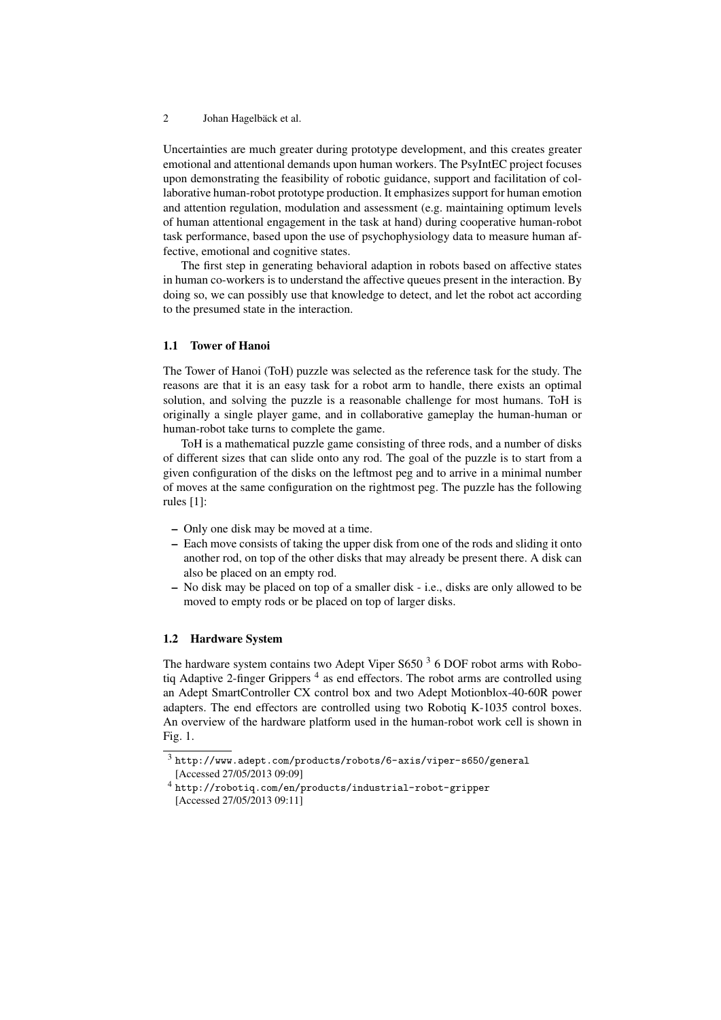Uncertainties are much greater during prototype development, and this creates greater emotional and attentional demands upon human workers. The PsyIntEC project focuses upon demonstrating the feasibility of robotic guidance, support and facilitation of collaborative human-robot prototype production. It emphasizes support for human emotion and attention regulation, modulation and assessment (e.g. maintaining optimum levels of human attentional engagement in the task at hand) during cooperative human-robot task performance, based upon the use of psychophysiology data to measure human affective, emotional and cognitive states.

The first step in generating behavioral adaption in robots based on affective states in human co-workers is to understand the affective queues present in the interaction. By doing so, we can possibly use that knowledge to detect, and let the robot act according to the presumed state in the interaction.

#### 1.1 Tower of Hanoi

The Tower of Hanoi (ToH) puzzle was selected as the reference task for the study. The reasons are that it is an easy task for a robot arm to handle, there exists an optimal solution, and solving the puzzle is a reasonable challenge for most humans. ToH is originally a single player game, and in collaborative gameplay the human-human or human-robot take turns to complete the game.

ToH is a mathematical puzzle game consisting of three rods, and a number of disks of different sizes that can slide onto any rod. The goal of the puzzle is to start from a given configuration of the disks on the leftmost peg and to arrive in a minimal number of moves at the same configuration on the rightmost peg. The puzzle has the following rules [1]:

- Only one disk may be moved at a time.
- Each move consists of taking the upper disk from one of the rods and sliding it onto another rod, on top of the other disks that may already be present there. A disk can also be placed on an empty rod.
- No disk may be placed on top of a smaller disk i.e., disks are only allowed to be moved to empty rods or be placed on top of larger disks.

#### 1.2 Hardware System

The hardware system contains two Adept Viper  $S650<sup>3</sup>$  6 DOF robot arms with Robotiq Adaptive 2-finger Grippers<sup>4</sup> as end effectors. The robot arms are controlled using an Adept SmartController CX control box and two Adept Motionblox-40-60R power adapters. The end effectors are controlled using two Robotiq K-1035 control boxes. An overview of the hardware platform used in the human-robot work cell is shown in Fig. 1.

 $^3$ http://www.adept.com/products/robots/6-axis/viper-s650/general [Accessed 27/05/2013 09:09]

<sup>4</sup> http://robotiq.com/en/products/industrial-robot-gripper [Accessed 27/05/2013 09:11]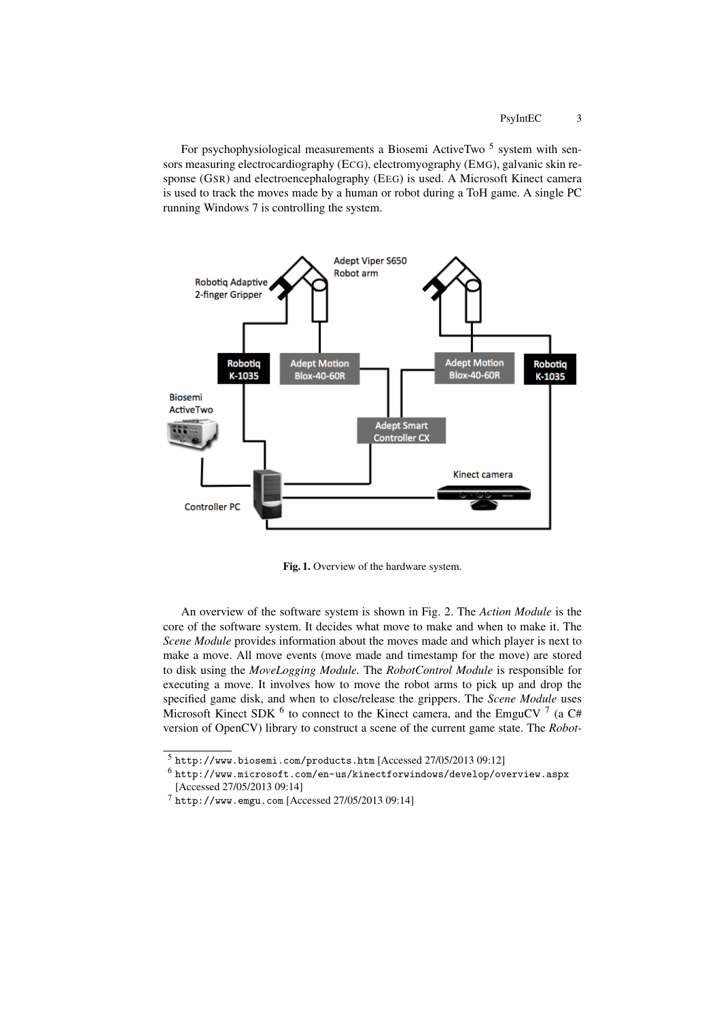For psychophysiological measurements a Biosemi ActiveTwo<sup>5</sup> system with sensors measuring electrocardiography (ECG), electromyography (EMG), galvanic skin response (GSR) and electroencephalography (EEG) is used. A Microsoft Kinect camera is used to track the moves made by a human or robot during a ToH game. A single PC running Windows 7 is controlling the system.



Fig. 1. Overview of the hardware system.

An overview of the software system is shown in Fig. 2. The *Action Module* is the core of the software system. It decides what move to make and when to make it. The *Scene Module* provides information about the moves made and which player is next to make a move. All move events (move made and timestamp for the move) are stored to disk using the *MoveLogging Module.* The *RobotControl Module* is responsible for executing a move. It involves how to move the robot arms to pick up and drop the specified game disk, and when to close/release the grippers. The *Scene Module* uses Microsoft Kinect SDK  $<sup>6</sup>$  to connect to the Kinect camera, and the EmguCV  $<sup>7</sup>$  (a C#</sup></sup> version of OpenCV) library to construct a scene of the current game state. The *Robot-*

<sup>5</sup> http://www.biosemi.com/products.htm [Accessed 27/05/2013 09:12]

<sup>6</sup> http://www.microsoft.com/en-us/kinectforwindows/develop/overview.aspx [Accessed 27/05/2013 09:14]

<sup>7</sup> http://www.emgu.com [Accessed 27/05/2013 09:14]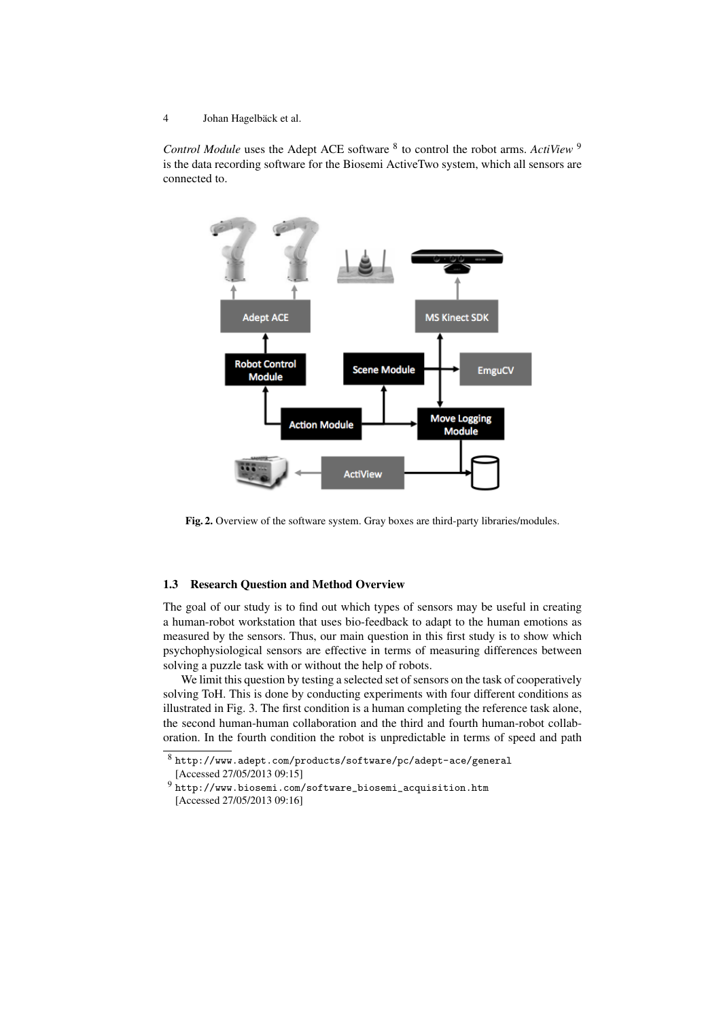Control Module uses the Adept ACE software <sup>8</sup> to control the robot arms. ActiView<sup>9</sup> is the data recording software for the Biosemi ActiveTwo system, which all sensors are connected to.



Fig. 2. Overview of the software system. Gray boxes are third-party libraries/modules.

#### 1.3 Research Question and Method Overview

The goal of our study is to find out which types of sensors may be useful in creating a human-robot workstation that uses bio-feedback to adapt to the human emotions as measured by the sensors. Thus, our main question in this first study is to show which psychophysiological sensors are effective in terms of measuring differences between solving a puzzle task with or without the help of robots.

We limit this question by testing a selected set of sensors on the task of cooperatively solving ToH. This is done by conducting experiments with four different conditions as illustrated in Fig. 3. The first condition is a human completing the reference task alone, the second human-human collaboration and the third and fourth human-robot collaboration. In the fourth condition the robot is unpredictable in terms of speed and path

 $^8$ http://www.adept.com/products/software/pc/adept-ace/general

<sup>[</sup>Accessed 27/05/2013 09:15]

 $^9$ http://www.biosemi.com/software\_biosemi\_acquisition.htm [Accessed 27/05/2013 09:16]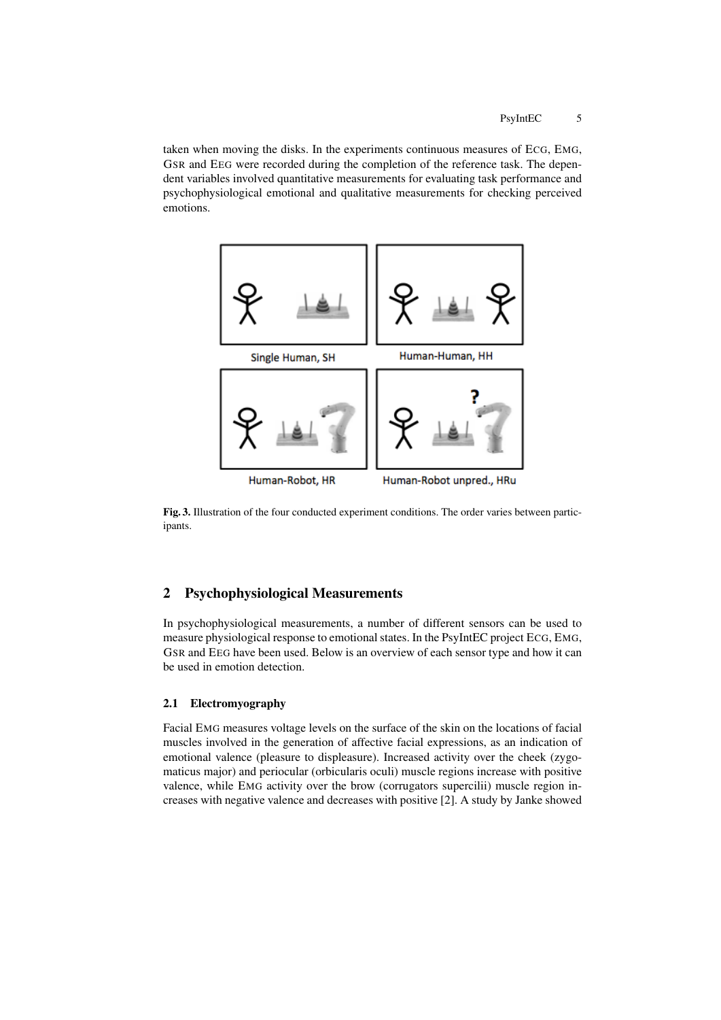taken when moving the disks. In the experiments continuous measures of ECG, EMG, GSR and EEG were recorded during the completion of the reference task. The dependent variables involved quantitative measurements for evaluating task performance and psychophysiological emotional and qualitative measurements for checking perceived emotions.



Fig. 3. Illustration of the four conducted experiment conditions. The order varies between participants.

# 2 Psychophysiological Measurements

In psychophysiological measurements, a number of different sensors can be used to measure physiological response to emotional states. In the PsyIntEC project ECG, EMG, GSR and EEG have been used. Below is an overview of each sensor type and how it can be used in emotion detection.

### 2.1 Electromyography

Facial EMG measures voltage levels on the surface of the skin on the locations of facial muscles involved in the generation of affective facial expressions, as an indication of emotional valence (pleasure to displeasure). Increased activity over the cheek (zygomaticus major) and periocular (orbicularis oculi) muscle regions increase with positive valence, while EMG activity over the brow (corrugators supercilii) muscle region increases with negative valence and decreases with positive [2]. A study by Janke showed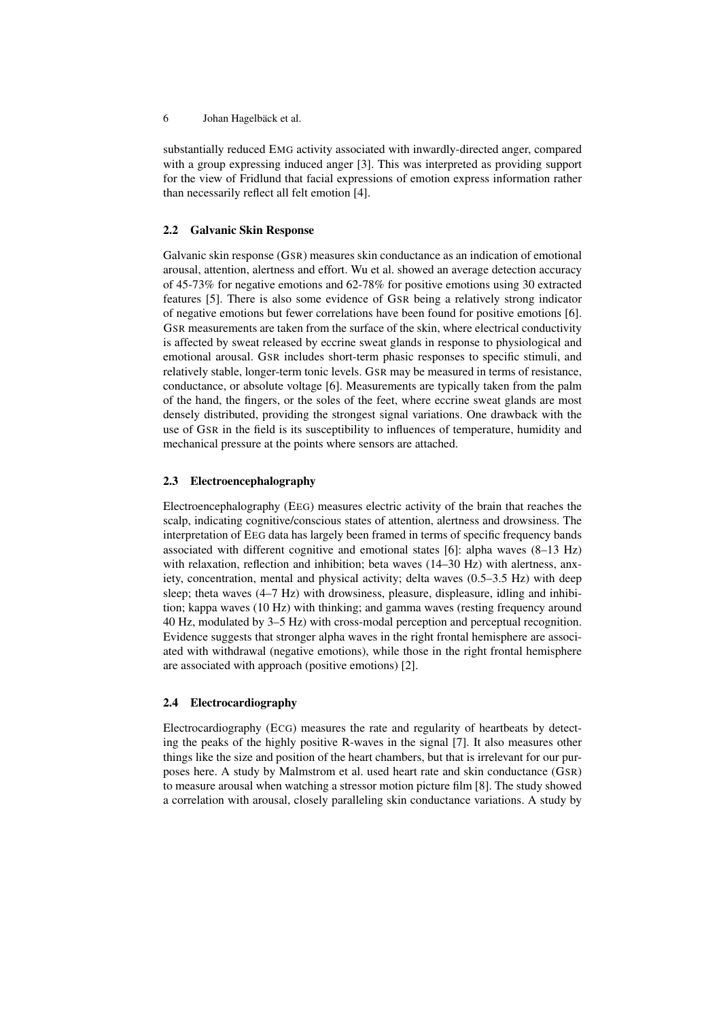substantially reduced EMG activity associated with inwardly-directed anger, compared with a group expressing induced anger [3]. This was interpreted as providing support for the view of Fridlund that facial expressions of emotion express information rather than necessarily reflect all felt emotion [4].

#### 2.2 Galvanic Skin Response

Galvanic skin response (GSR) measures skin conductance as an indication of emotional arousal, attention, alertness and effort. Wu et al. showed an average detection accuracy of 45-73% for negative emotions and 62-78% for positive emotions using 30 extracted features [5]. There is also some evidence of GSR being a relatively strong indicator of negative emotions but fewer correlations have been found for positive emotions [6]. GSR measurements are taken from the surface of the skin, where electrical conductivity is affected by sweat released by eccrine sweat glands in response to physiological and emotional arousal. GSR includes short-term phasic responses to specific stimuli, and relatively stable, longer-term tonic levels. GSR may be measured in terms of resistance, conductance, or absolute voltage [6]. Measurements are typically taken from the palm of the hand, the fingers, or the soles of the feet, where eccrine sweat glands are most densely distributed, providing the strongest signal variations. One drawback with the use of GSR in the field is its susceptibility to influences of temperature, humidity and mechanical pressure at the points where sensors are attached.

#### 2.3 Electroencephalography

Electroencephalography (EEG) measures electric activity of the brain that reaches the scalp, indicating cognitive/conscious states of attention, alertness and drowsiness. The interpretation of EEG data has largely been framed in terms of specific frequency bands associated with different cognitive and emotional states [6]: alpha waves (8–13 Hz) with relaxation, reflection and inhibition; beta waves (14–30 Hz) with alertness, anxiety, concentration, mental and physical activity; delta waves (0.5–3.5 Hz) with deep sleep; theta waves (4–7 Hz) with drowsiness, pleasure, displeasure, idling and inhibition; kappa waves (10 Hz) with thinking; and gamma waves (resting frequency around 40 Hz, modulated by 3–5 Hz) with cross-modal perception and perceptual recognition. Evidence suggests that stronger alpha waves in the right frontal hemisphere are associated with withdrawal (negative emotions), while those in the right frontal hemisphere are associated with approach (positive emotions) [2].

#### 2.4 Electrocardiography

Electrocardiography (ECG) measures the rate and regularity of heartbeats by detecting the peaks of the highly positive R-waves in the signal [7]. It also measures other things like the size and position of the heart chambers, but that is irrelevant for our purposes here. A study by Malmstrom et al. used heart rate and skin conductance (GSR) to measure arousal when watching a stressor motion picture film [8]. The study showed a correlation with arousal, closely paralleling skin conductance variations. A study by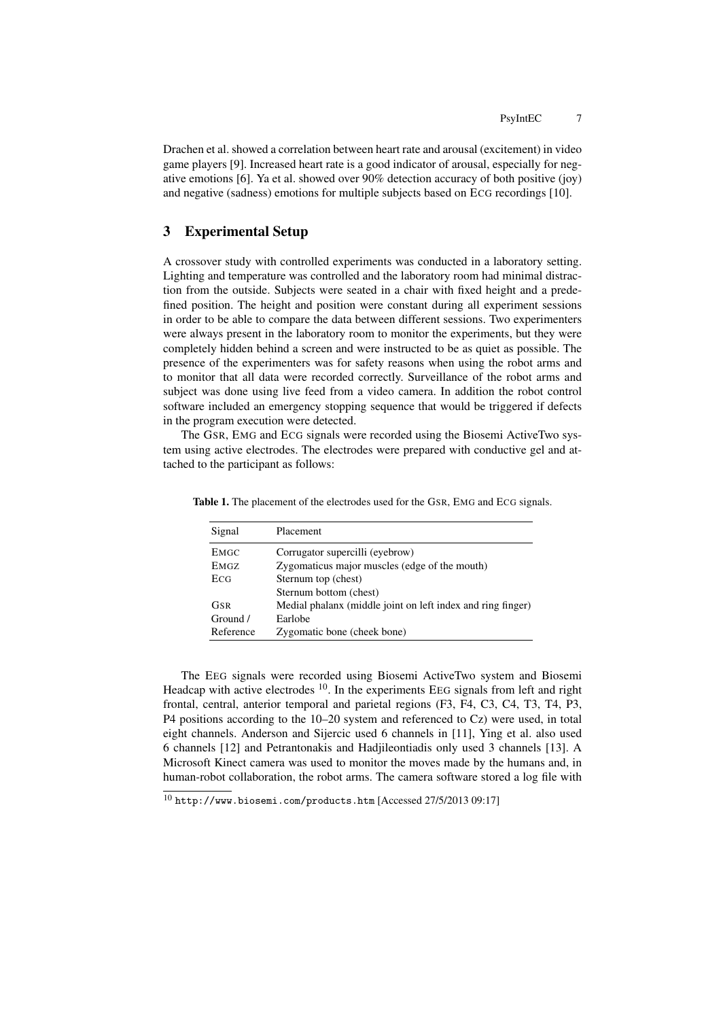Drachen et al. showed a correlation between heart rate and arousal (excitement) in video game players [9]. Increased heart rate is a good indicator of arousal, especially for negative emotions [6]. Ya et al. showed over 90% detection accuracy of both positive (joy) and negative (sadness) emotions for multiple subjects based on ECG recordings [10].

# 3 Experimental Setup

A crossover study with controlled experiments was conducted in a laboratory setting. Lighting and temperature was controlled and the laboratory room had minimal distraction from the outside. Subjects were seated in a chair with fixed height and a predefined position. The height and position were constant during all experiment sessions in order to be able to compare the data between different sessions. Two experimenters were always present in the laboratory room to monitor the experiments, but they were completely hidden behind a screen and were instructed to be as quiet as possible. The presence of the experimenters was for safety reasons when using the robot arms and to monitor that all data were recorded correctly. Surveillance of the robot arms and subject was done using live feed from a video camera. In addition the robot control software included an emergency stopping sequence that would be triggered if defects in the program execution were detected.

The GSR, EMG and ECG signals were recorded using the Biosemi ActiveTwo system using active electrodes. The electrodes were prepared with conductive gel and attached to the participant as follows:

| <b>Placement</b>                                            |
|-------------------------------------------------------------|
| Corrugator supercilli (eyebrow)                             |
| Zygomaticus major muscles (edge of the mouth)               |
| Sternum top (chest)                                         |
| Sternum bottom (chest)                                      |
| Medial phalanx (middle joint on left index and ring finger) |
| Earlobe                                                     |
| Zygomatic bone (cheek bone)                                 |
|                                                             |

Table 1. The placement of the electrodes used for the GSR, EMG and ECG signals.

The EEG signals were recorded using Biosemi ActiveTwo system and Biosemi Headcap with active electrodes <sup>10</sup>. In the experiments EEG signals from left and right frontal, central, anterior temporal and parietal regions (F3, F4, C3, C4, T3, T4, P3, P4 positions according to the 10–20 system and referenced to Cz) were used, in total eight channels. Anderson and Sijercic used 6 channels in [11], Ying et al. also used 6 channels [12] and Petrantonakis and Hadjileontiadis only used 3 channels [13]. A Microsoft Kinect camera was used to monitor the moves made by the humans and, in human-robot collaboration, the robot arms. The camera software stored a log file with

 $^{10}$ http://www.biosemi.com/products.htm [Accessed 27/5/2013 09:17]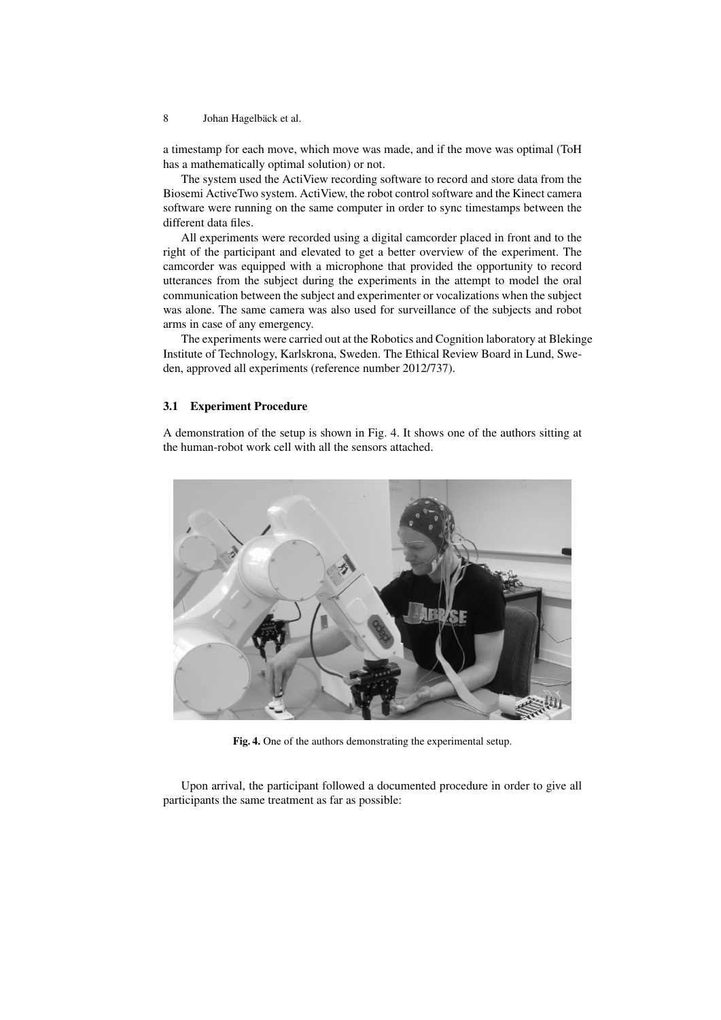a timestamp for each move, which move was made, and if the move was optimal (ToH has a mathematically optimal solution) or not.

The system used the ActiView recording software to record and store data from the Biosemi ActiveTwo system. ActiView, the robot control software and the Kinect camera software were running on the same computer in order to sync timestamps between the different data files.

All experiments were recorded using a digital camcorder placed in front and to the right of the participant and elevated to get a better overview of the experiment. The camcorder was equipped with a microphone that provided the opportunity to record utterances from the subject during the experiments in the attempt to model the oral communication between the subject and experimenter or vocalizations when the subject was alone. The same camera was also used for surveillance of the subjects and robot arms in case of any emergency.

The experiments were carried out at the Robotics and Cognition laboratory at Blekinge Institute of Technology, Karlskrona, Sweden. The Ethical Review Board in Lund, Sweden, approved all experiments (reference number 2012/737).

#### 3.1 Experiment Procedure

A demonstration of the setup is shown in Fig. 4. It shows one of the authors sitting at the human-robot work cell with all the sensors attached.



Fig. 4. One of the authors demonstrating the experimental setup.

Upon arrival, the participant followed a documented procedure in order to give all participants the same treatment as far as possible: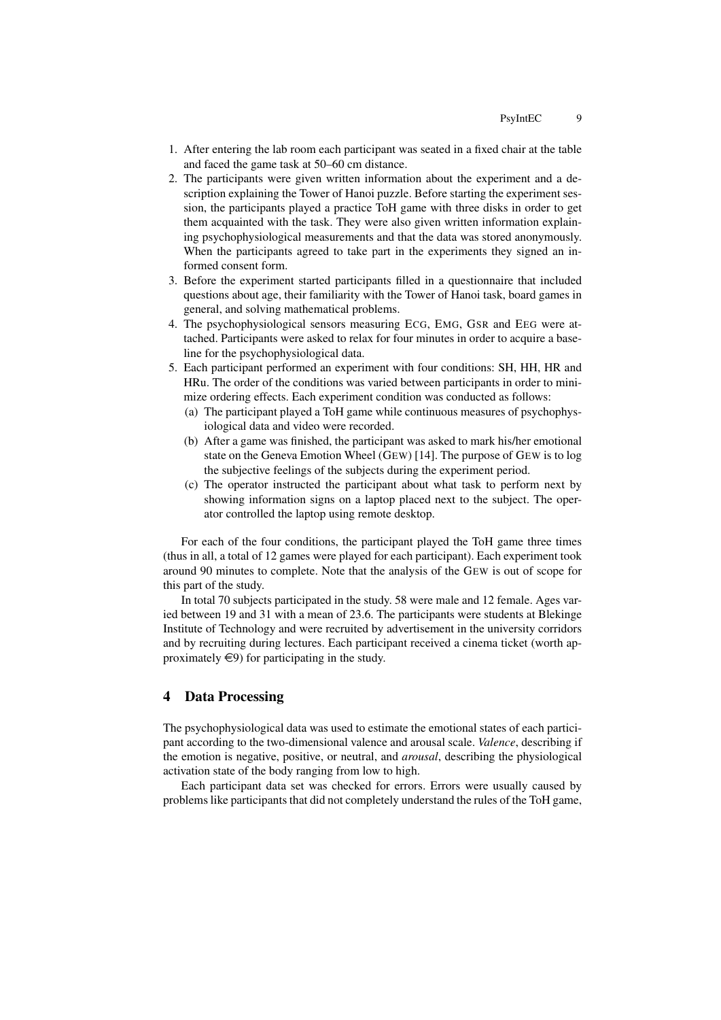- 1. After entering the lab room each participant was seated in a fixed chair at the table and faced the game task at 50–60 cm distance.
- 2. The participants were given written information about the experiment and a description explaining the Tower of Hanoi puzzle. Before starting the experiment session, the participants played a practice ToH game with three disks in order to get them acquainted with the task. They were also given written information explaining psychophysiological measurements and that the data was stored anonymously. When the participants agreed to take part in the experiments they signed an informed consent form.
- 3. Before the experiment started participants filled in a questionnaire that included questions about age, their familiarity with the Tower of Hanoi task, board games in general, and solving mathematical problems.
- 4. The psychophysiological sensors measuring ECG, EMG, GSR and EEG were attached. Participants were asked to relax for four minutes in order to acquire a baseline for the psychophysiological data.
- 5. Each participant performed an experiment with four conditions: SH, HH, HR and HRu. The order of the conditions was varied between participants in order to minimize ordering effects. Each experiment condition was conducted as follows:
	- (a) The participant played a ToH game while continuous measures of psychophysiological data and video were recorded.
	- (b) After a game was finished, the participant was asked to mark his/her emotional state on the Geneva Emotion Wheel (GEW) [14]. The purpose of GEW is to log the subjective feelings of the subjects during the experiment period.
	- (c) The operator instructed the participant about what task to perform next by showing information signs on a laptop placed next to the subject. The operator controlled the laptop using remote desktop.

For each of the four conditions, the participant played the ToH game three times (thus in all, a total of 12 games were played for each participant). Each experiment took around 90 minutes to complete. Note that the analysis of the GEW is out of scope for this part of the study.

In total 70 subjects participated in the study. 58 were male and 12 female. Ages varied between 19 and 31 with a mean of 23.6. The participants were students at Blekinge Institute of Technology and were recruited by advertisement in the university corridors and by recruiting during lectures. Each participant received a cinema ticket (worth approximately  $\in$ 9) for participating in the study.

# 4 Data Processing

The psychophysiological data was used to estimate the emotional states of each participant according to the two-dimensional valence and arousal scale. *Valence*, describing if the emotion is negative, positive, or neutral, and *arousal*, describing the physiological activation state of the body ranging from low to high.

Each participant data set was checked for errors. Errors were usually caused by problems like participants that did not completely understand the rules of the ToH game,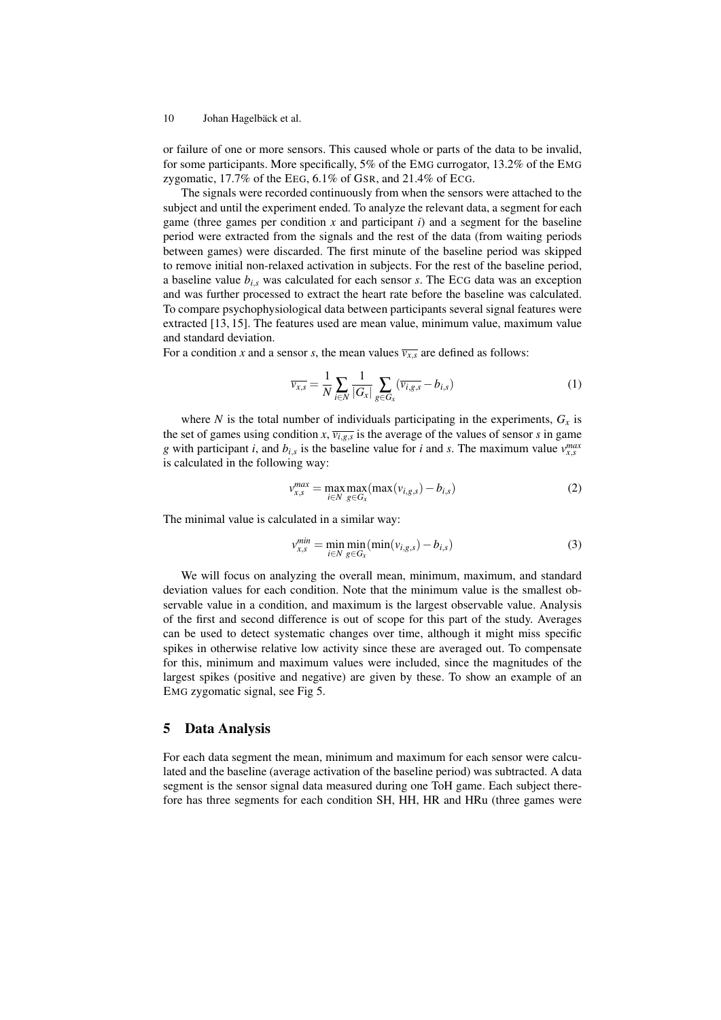or failure of one or more sensors. This caused whole or parts of the data to be invalid, for some participants. More specifically, 5% of the EMG currogator, 13.2% of the EMG zygomatic, 17.7% of the EEG, 6.1% of GSR, and 21.4% of ECG.

The signals were recorded continuously from when the sensors were attached to the subject and until the experiment ended. To analyze the relevant data, a segment for each game (three games per condition *x* and participant *i*) and a segment for the baseline period were extracted from the signals and the rest of the data (from waiting periods between games) were discarded. The first minute of the baseline period was skipped to remove initial non-relaxed activation in subjects. For the rest of the baseline period, a baseline value *bi*,*<sup>s</sup>* was calculated for each sensor *s*. The ECG data was an exception and was further processed to extract the heart rate before the baseline was calculated. To compare psychophysiological data between participants several signal features were extracted [13, 15]. The features used are mean value, minimum value, maximum value and standard deviation.

For a condition *x* and a sensor *s*, the mean values  $\overline{v_{x,s}}$  are defined as follows:

$$
\overline{\nu_{x,s}} = \frac{1}{N} \sum_{i \in N} \frac{1}{|G_x|} \sum_{g \in G_x} (\overline{\nu_{i,g,s}} - b_{i,s})
$$
(1)

where *N* is the total number of individuals participating in the experiments,  $G<sub>x</sub>$  is the set of games using condition *x*,  $\overline{v_{i,g,s}}$  is the average of the values of sensor *s* in game *g* with participant *i*, and  $b_{i,s}$  is the baseline value for *i* and *s*. The maximum value  $v_{x,s}^{max}$ is calculated in the following way:

$$
v_{x,s}^{max} = \max_{i \in N} \max_{g \in G_x} (\max(v_{i,g,s}) - b_{i,s})
$$
 (2)

The minimal value is calculated in a similar way:

$$
v_{x,s}^{min} = \min_{i \in N} \min_{g \in G_x} (\min(v_{i,g,s}) - b_{i,s})
$$
\n(3)

We will focus on analyzing the overall mean, minimum, maximum, and standard deviation values for each condition. Note that the minimum value is the smallest observable value in a condition, and maximum is the largest observable value. Analysis of the first and second difference is out of scope for this part of the study. Averages can be used to detect systematic changes over time, although it might miss specific spikes in otherwise relative low activity since these are averaged out. To compensate for this, minimum and maximum values were included, since the magnitudes of the largest spikes (positive and negative) are given by these. To show an example of an EMG zygomatic signal, see Fig 5.

## 5 Data Analysis

For each data segment the mean, minimum and maximum for each sensor were calculated and the baseline (average activation of the baseline period) was subtracted. A data segment is the sensor signal data measured during one ToH game. Each subject therefore has three segments for each condition SH, HH, HR and HRu (three games were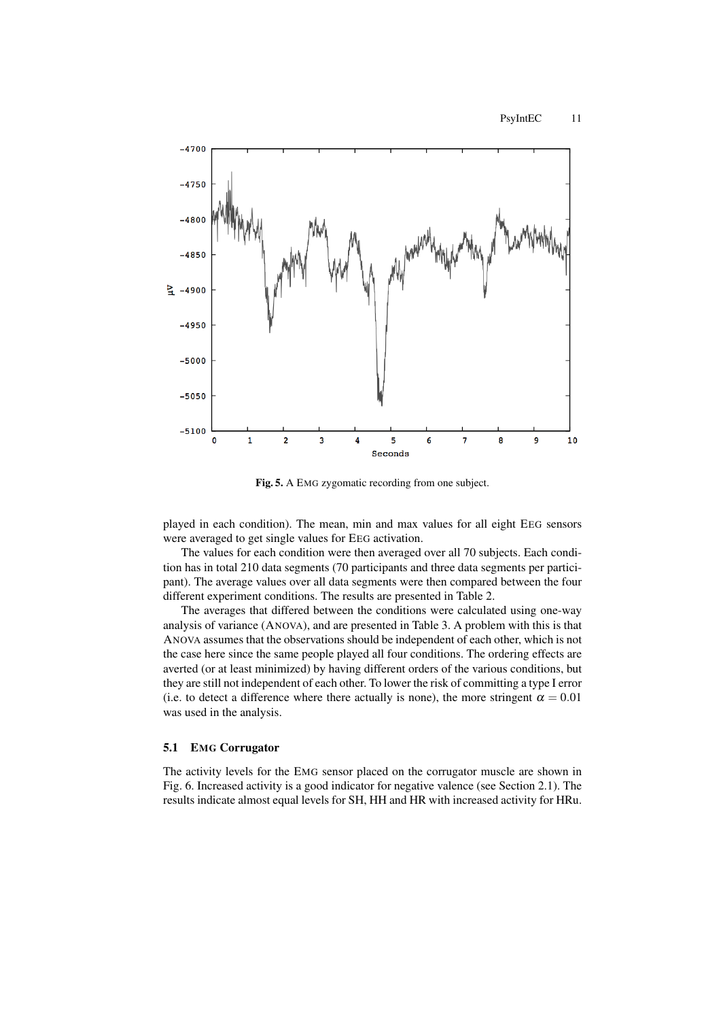

Fig. 5. A EMG zygomatic recording from one subject.

played in each condition). The mean, min and max values for all eight EEG sensors were averaged to get single values for EEG activation.

The values for each condition were then averaged over all 70 subjects. Each condition has in total 210 data segments (70 participants and three data segments per participant). The average values over all data segments were then compared between the four different experiment conditions. The results are presented in Table 2.

The averages that differed between the conditions were calculated using one-way analysis of variance (ANOVA), and are presented in Table 3. A problem with this is that ANOVA assumes that the observations should be independent of each other, which is not the case here since the same people played all four conditions. The ordering effects are averted (or at least minimized) by having different orders of the various conditions, but they are still not independent of each other. To lower the risk of committing a type I error (i.e. to detect a difference where there actually is none), the more stringent  $\alpha = 0.01$ was used in the analysis.

### 5.1 EMG Corrugator

The activity levels for the EMG sensor placed on the corrugator muscle are shown in Fig. 6. Increased activity is a good indicator for negative valence (see Section 2.1). The results indicate almost equal levels for SH, HH and HR with increased activity for HRu.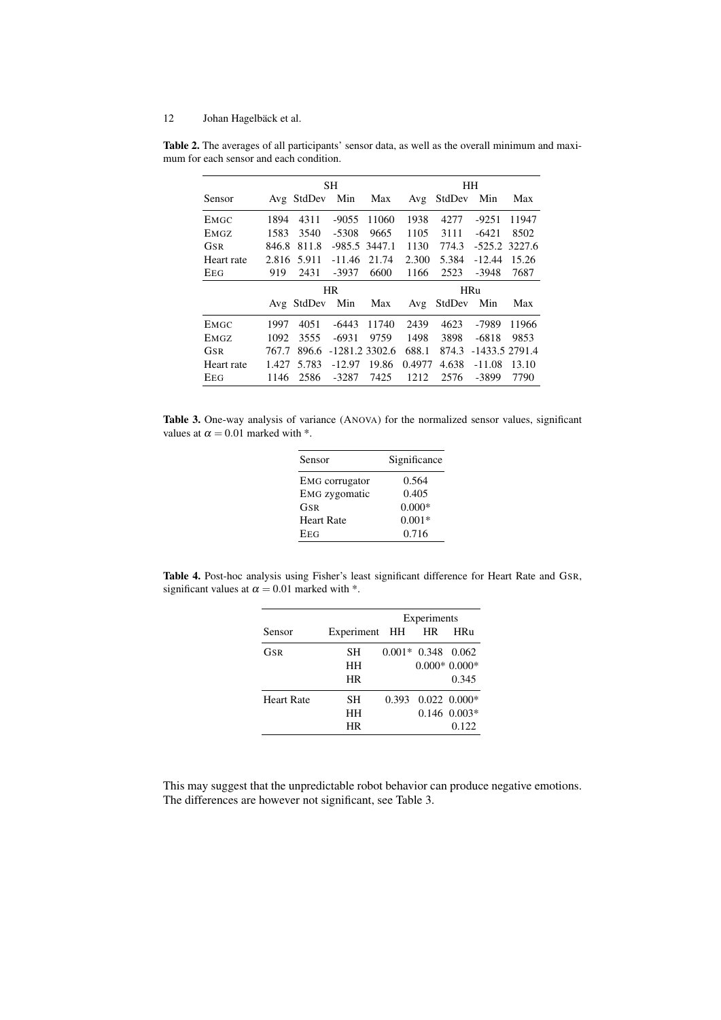|             | <b>SH</b> |        |                | HH            |        |        |                |                 |
|-------------|-----------|--------|----------------|---------------|--------|--------|----------------|-----------------|
| Sensor      | Avg       | StdDev | Min            | Max           | Avg    | StdDev | Min            | Max             |
| <b>EMGC</b> | 1894      | 4311   | $-9055$        | 11060         | 1938   | 4277   | $-9251$        | 11947           |
| EMGZ        | 1583      | 3540   | $-5308$        | 9665          | 1105   | 3111   | $-6421$        | 8502            |
| <b>GSR</b>  | 846.8     | 811.8  |                | -985.5 3447.1 | 1130   | 774.3  |                | $-525.2$ 3227.6 |
| Heart rate  | 2.816     | 5.911  | $-11.46$       | 21.74         | 2.300  | 5.384  | $-12.44$       | 15.26           |
| <b>EEG</b>  | 919       | 2431   | -3937          | 6600          | 1166   | 2523   | -3948          | 7687            |
|             | HR        |        |                | HRu           |        |        |                |                 |
|             | Avg       | StdDev | Min            | Max           | Avg    | StdDev | Min            | Max             |
| EMGC        | 1997      | 4051   | $-6443$        | 11740         | 2439   | 4623   | -7989          | 11966           |
| EMGZ        | 1092      | 3555   | $-6931$        | 9759          | 1498   | 3898   | $-6818$        | 9853            |
| <b>GSR</b>  | 767.7     | 896.6  | -1281.2 3302.6 |               | 688.1  | 874.3  | -1433.5 2791.4 |                 |
| Heart rate  | 1.427     | 5.783  | $-12.97$       | 19.86         | 0.4977 | 4.638  | $-11.08$       | 13.10           |
| <b>EEG</b>  | 1146      | 2586   | $-3287$        | 7425          | 1212   | 2576   | -3899          | 7790            |

Table 2. The averages of all participants' sensor data, as well as the overall minimum and maximum for each sensor and each condition.

Table 3. One-way analysis of variance (ANOVA) for the normalized sensor values, significant values at  $\alpha = 0.01$  marked with  $*$ .

| Sensor         | Significance |
|----------------|--------------|
| EMG corrugator | 0.564        |
| EMG zygomatic  | 0.405        |
| <b>GSR</b>     | $0.000*$     |
| Heart Rate     | $0.001*$     |
| <b>EEG</b>     | 0.716        |

Table 4. Post-hoc analysis using Fisher's least significant difference for Heart Rate and GSR, significant values at  $\alpha = 0.01$  marked with \*.

|            |            | Experiments |                    |                          |  |
|------------|------------|-------------|--------------------|--------------------------|--|
| Sensor     | Experiment | HH HR       |                    | HRu                      |  |
| GSR        | <b>SH</b>  |             | $0.001*0.3480.062$ |                          |  |
|            | HН         |             |                    | $0.000*0.000*$           |  |
|            | HR         |             |                    | 0.345                    |  |
| Heart Rate | <b>SH</b>  |             |                    | $0.393$ $0.022$ $0.000*$ |  |
|            | HН         |             |                    | $0.146$ $0.003*$         |  |
|            | HR         |             |                    | 0.122                    |  |

This may suggest that the unpredictable robot behavior can produce negative emotions. The differences are however not significant, see Table 3.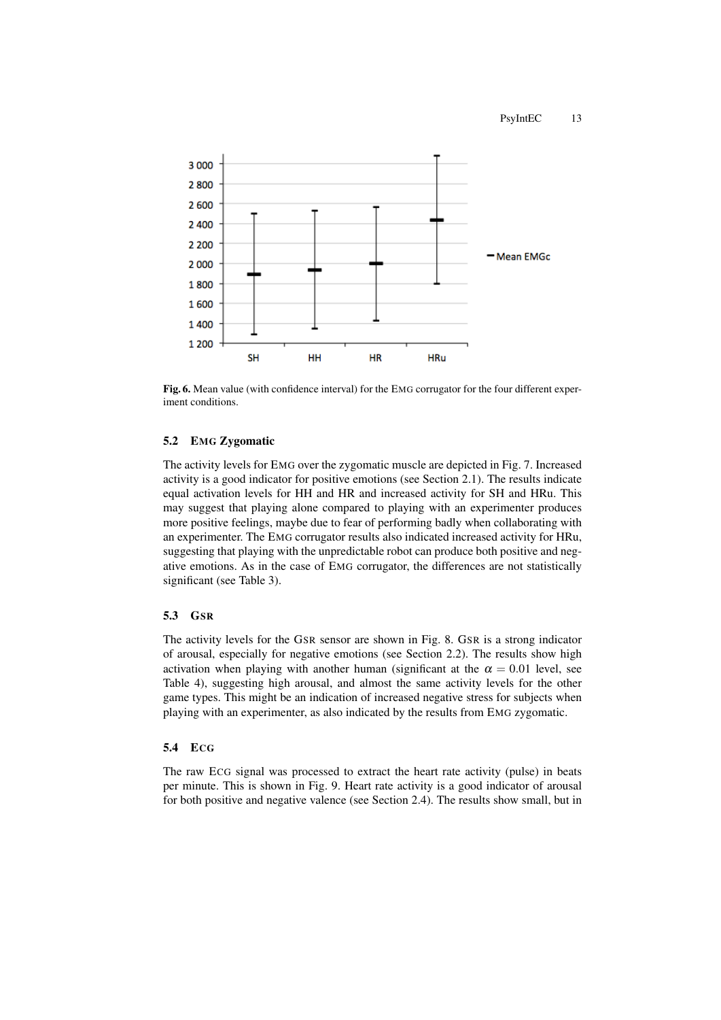

Fig. 6. Mean value (with confidence interval) for the EMG corrugator for the four different experiment conditions.

#### 5.2 EMG Zygomatic

The activity levels for EMG over the zygomatic muscle are depicted in Fig. 7. Increased activity is a good indicator for positive emotions (see Section 2.1). The results indicate equal activation levels for HH and HR and increased activity for SH and HRu. This may suggest that playing alone compared to playing with an experimenter produces more positive feelings, maybe due to fear of performing badly when collaborating with an experimenter. The EMG corrugator results also indicated increased activity for HRu, suggesting that playing with the unpredictable robot can produce both positive and negative emotions. As in the case of EMG corrugator, the differences are not statistically significant (see Table 3).

#### 5.3 GSR

The activity levels for the GSR sensor are shown in Fig. 8. GSR is a strong indicator of arousal, especially for negative emotions (see Section 2.2). The results show high activation when playing with another human (significant at the  $\alpha = 0.01$  level, see Table 4), suggesting high arousal, and almost the same activity levels for the other game types. This might be an indication of increased negative stress for subjects when playing with an experimenter, as also indicated by the results from EMG zygomatic.

### 5.4 ECG

The raw ECG signal was processed to extract the heart rate activity (pulse) in beats per minute. This is shown in Fig. 9. Heart rate activity is a good indicator of arousal for both positive and negative valence (see Section 2.4). The results show small, but in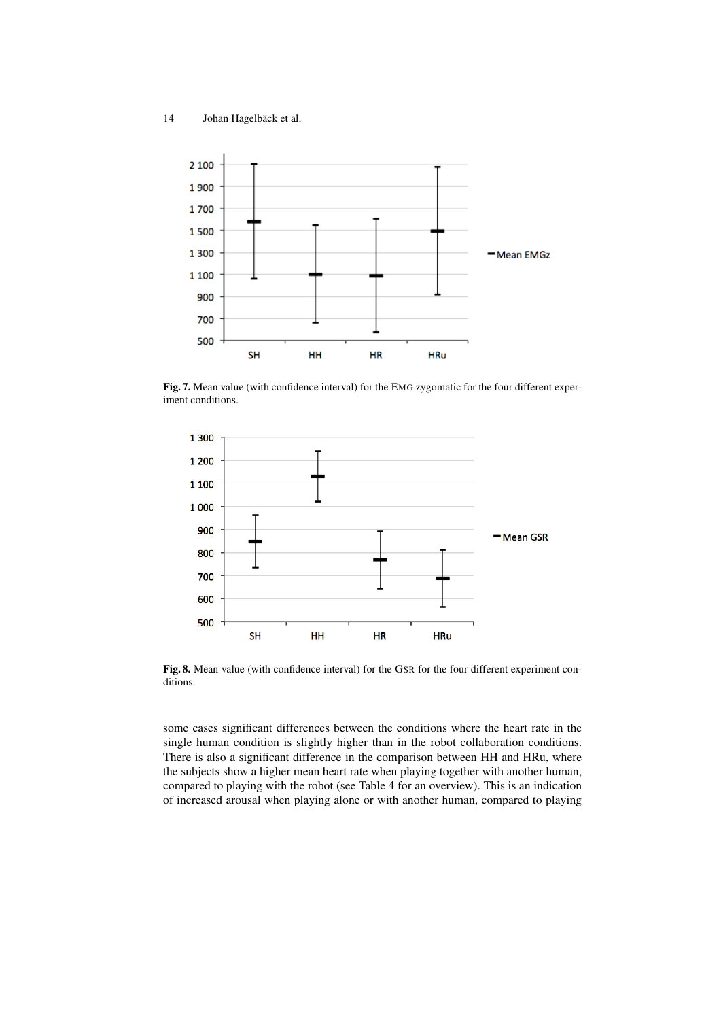

Fig. 7. Mean value (with confidence interval) for the EMG zygomatic for the four different experiment conditions.



Fig. 8. Mean value (with confidence interval) for the GSR for the four different experiment conditions.

some cases significant differences between the conditions where the heart rate in the single human condition is slightly higher than in the robot collaboration conditions. There is also a significant difference in the comparison between HH and HRu, where the subjects show a higher mean heart rate when playing together with another human, compared to playing with the robot (see Table 4 for an overview). This is an indication of increased arousal when playing alone or with another human, compared to playing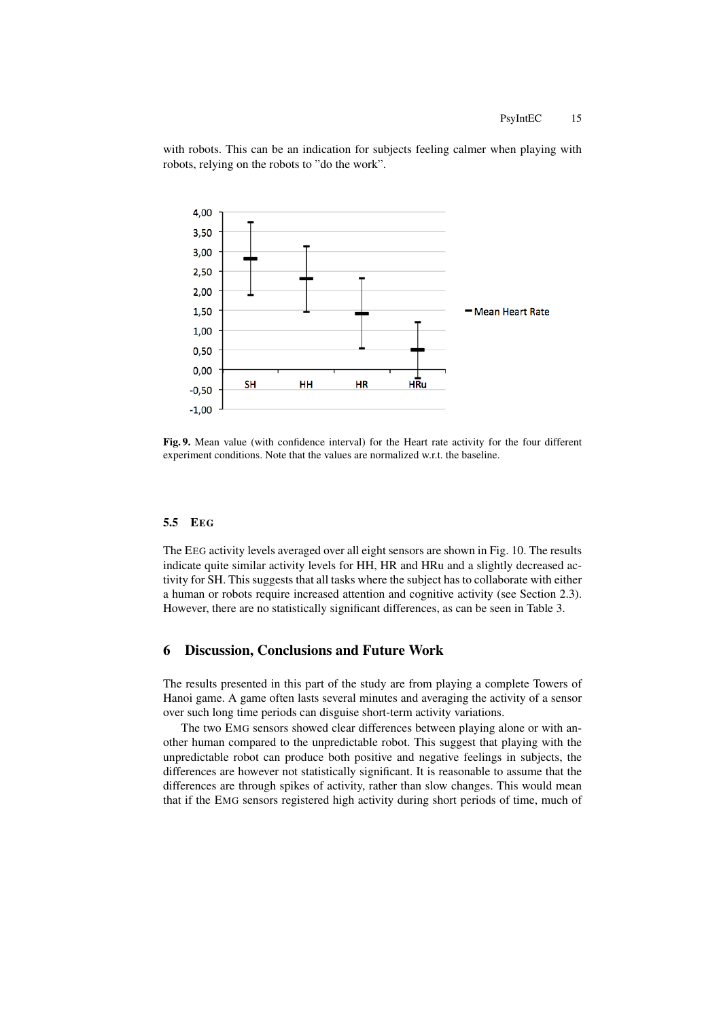with robots. This can be an indication for subjects feeling calmer when playing with robots, relying on the robots to "do the work".



Fig. 9. Mean value (with confidence interval) for the Heart rate activity for the four different experiment conditions. Note that the values are normalized w.r.t. the baseline.

#### 5.5 EEG

The EEG activity levels averaged over all eight sensors are shown in Fig. 10. The results indicate quite similar activity levels for HH, HR and HRu and a slightly decreased activity for SH. This suggests that all tasks where the subject has to collaborate with either a human or robots require increased attention and cognitive activity (see Section 2.3). However, there are no statistically significant differences, as can be seen in Table 3.

## 6 Discussion, Conclusions and Future Work

The results presented in this part of the study are from playing a complete Towers of Hanoi game. A game often lasts several minutes and averaging the activity of a sensor over such long time periods can disguise short-term activity variations.

The two EMG sensors showed clear differences between playing alone or with another human compared to the unpredictable robot. This suggest that playing with the unpredictable robot can produce both positive and negative feelings in subjects, the differences are however not statistically significant. It is reasonable to assume that the differences are through spikes of activity, rather than slow changes. This would mean that if the EMG sensors registered high activity during short periods of time, much of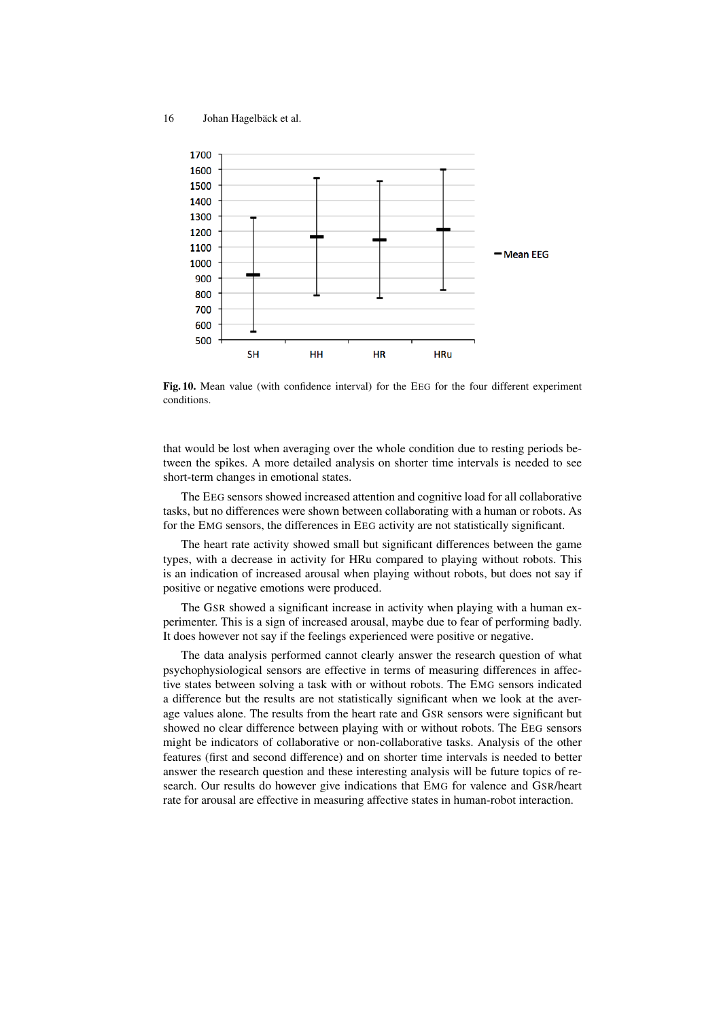

Fig. 10. Mean value (with confidence interval) for the EEG for the four different experiment conditions.

that would be lost when averaging over the whole condition due to resting periods between the spikes. A more detailed analysis on shorter time intervals is needed to see short-term changes in emotional states.

The EEG sensors showed increased attention and cognitive load for all collaborative tasks, but no differences were shown between collaborating with a human or robots. As for the EMG sensors, the differences in EEG activity are not statistically significant.

The heart rate activity showed small but significant differences between the game types, with a decrease in activity for HRu compared to playing without robots. This is an indication of increased arousal when playing without robots, but does not say if positive or negative emotions were produced.

The GSR showed a significant increase in activity when playing with a human experimenter. This is a sign of increased arousal, maybe due to fear of performing badly. It does however not say if the feelings experienced were positive or negative.

The data analysis performed cannot clearly answer the research question of what psychophysiological sensors are effective in terms of measuring differences in affective states between solving a task with or without robots. The EMG sensors indicated a difference but the results are not statistically significant when we look at the average values alone. The results from the heart rate and GSR sensors were significant but showed no clear difference between playing with or without robots. The EEG sensors might be indicators of collaborative or non-collaborative tasks. Analysis of the other features (first and second difference) and on shorter time intervals is needed to better answer the research question and these interesting analysis will be future topics of research. Our results do however give indications that EMG for valence and GSR/heart rate for arousal are effective in measuring affective states in human-robot interaction.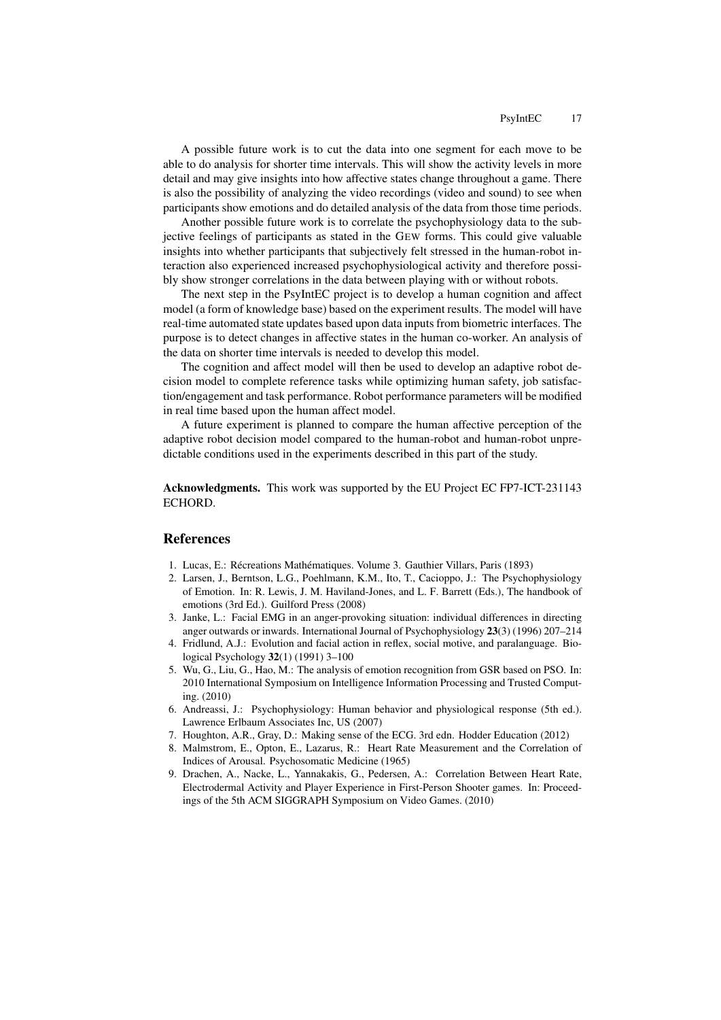A possible future work is to cut the data into one segment for each move to be able to do analysis for shorter time intervals. This will show the activity levels in more detail and may give insights into how affective states change throughout a game. There is also the possibility of analyzing the video recordings (video and sound) to see when participants show emotions and do detailed analysis of the data from those time periods.

Another possible future work is to correlate the psychophysiology data to the subjective feelings of participants as stated in the GEW forms. This could give valuable insights into whether participants that subjectively felt stressed in the human-robot interaction also experienced increased psychophysiological activity and therefore possibly show stronger correlations in the data between playing with or without robots.

The next step in the PsyIntEC project is to develop a human cognition and affect model (a form of knowledge base) based on the experiment results. The model will have real-time automated state updates based upon data inputs from biometric interfaces. The purpose is to detect changes in affective states in the human co-worker. An analysis of the data on shorter time intervals is needed to develop this model.

The cognition and affect model will then be used to develop an adaptive robot decision model to complete reference tasks while optimizing human safety, job satisfaction/engagement and task performance. Robot performance parameters will be modified in real time based upon the human affect model.

A future experiment is planned to compare the human affective perception of the adaptive robot decision model compared to the human-robot and human-robot unpredictable conditions used in the experiments described in this part of the study.

Acknowledgments. This work was supported by the EU Project EC FP7-ICT-231143 ECHORD.

# References

- 1. Lucas, E.: Récreations Mathématiques. Volume 3. Gauthier Villars, Paris (1893)
- 2. Larsen, J., Berntson, L.G., Poehlmann, K.M., Ito, T., Cacioppo, J.: The Psychophysiology of Emotion. In: R. Lewis, J. M. Haviland-Jones, and L. F. Barrett (Eds.), The handbook of emotions (3rd Ed.). Guilford Press (2008)
- 3. Janke, L.: Facial EMG in an anger-provoking situation: individual differences in directing anger outwards or inwards. International Journal of Psychophysiology 23(3) (1996) 207–214
- 4. Fridlund, A.J.: Evolution and facial action in reflex, social motive, and paralanguage. Biological Psychology 32(1) (1991) 3–100
- 5. Wu, G., Liu, G., Hao, M.: The analysis of emotion recognition from GSR based on PSO. In: 2010 International Symposium on Intelligence Information Processing and Trusted Computing. (2010)
- 6. Andreassi, J.: Psychophysiology: Human behavior and physiological response (5th ed.). Lawrence Erlbaum Associates Inc, US (2007)
- 7. Houghton, A.R., Gray, D.: Making sense of the ECG. 3rd edn. Hodder Education (2012)
- 8. Malmstrom, E., Opton, E., Lazarus, R.: Heart Rate Measurement and the Correlation of Indices of Arousal. Psychosomatic Medicine (1965)
- 9. Drachen, A., Nacke, L., Yannakakis, G., Pedersen, A.: Correlation Between Heart Rate, Electrodermal Activity and Player Experience in First-Person Shooter games. In: Proceedings of the 5th ACM SIGGRAPH Symposium on Video Games. (2010)